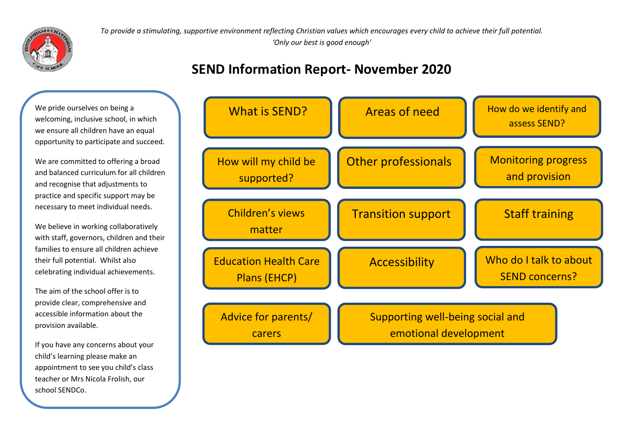

*To provide a stimulating, supportive environment reflecting Christian values which encourages every child to achieve their full potential. 'Only our best is good enough'* 

### **SEND Information Report- November 2020**

We pride ourselves on being a welcoming, inclusive school, in which we ensure all children have an equal opportunity to participate and succeed.

We are committed to offering a broad and balanced curriculum for all children and recognise that adjustments to practice and specific support may be necessary to meet individual needs.

We believe in working collaboratively with staff, governors, children and their families to ensure all children achieve their full potential. Whilst also celebrating individual achievements.

The aim of the school offer is to provide clear, comprehensive and accessible information about the provision available.

If you have any concerns about your child's learning please make an appointment to see you child's class teacher or Mrs Nicola Frolish, our school SENDCo.

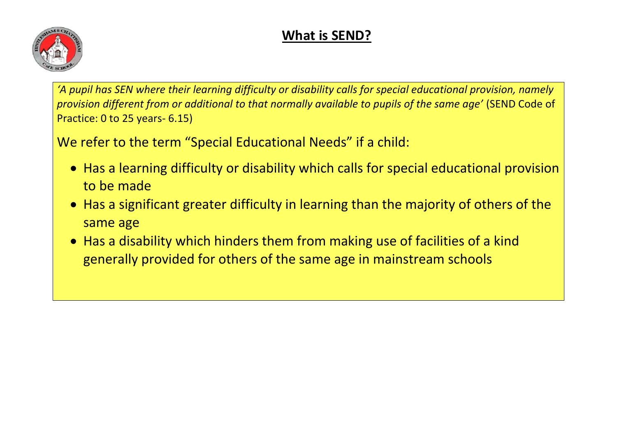# **What is SEND?**



*'A pupil has SEN where their learning difficulty or disability calls for special educational provision, namely provision different from or additional to that normally available to pupils of the same age'* (SEND Code of Practice: 0 to 25 years- 6.15)

We refer to the term "Special Educational Needs" if a child:

- Has a learning difficulty or disability which calls for special educational provision to be made
- Has a significant greater difficulty in learning than the majority of others of the same age
- Has a disability which hinders them from making use of facilities of a kind generally provided for others of the same age in mainstream schools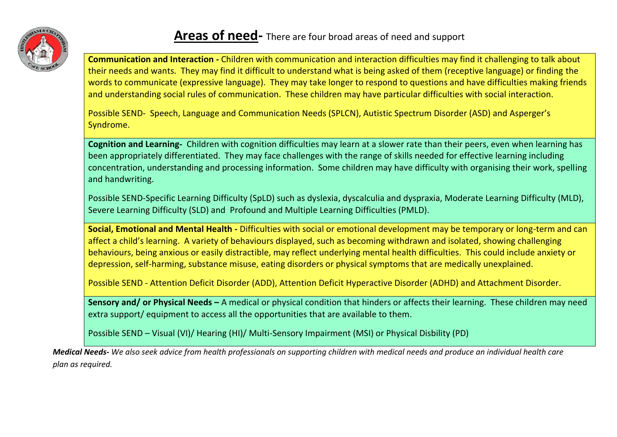

### **Areas of need-** There are four broad areas of need and support

**Communication and Interaction -** Children with communication and interaction difficulties may find it challenging to talk about their needs and wants. They may find it difficult to understand what is being asked of them (receptive language) or finding the words to communicate (expressive language). They may take longer to respond to questions and have difficulties making friends and understanding social rules of communication. These children may have particular difficulties with social interaction.

Possible SEND- Speech, Language and Communication Needs (SPLCN), Autistic Spectrum Disorder (ASD) and Asperger's Syndrome.

**Cognition and Learning-** Children with cognition difficulties may learn at a slower rate than their peers, even when learning has been appropriately differentiated. They may face challenges with the range of skills needed for effective learning including concentration, understanding and processing information. Some children may have difficulty with organising their work, spelling and handwriting.

Possible SEND-Specific Learning Difficulty (SpLD) such as dyslexia, dyscalculia and dyspraxia, Moderate Learning Difficulty (MLD), Severe Learning Difficulty (SLD) and Profound and Multiple Learning Difficulties (PMLD).

**Social, Emotional and Mental Health -** Difficulties with social or emotional development may be temporary or long-term and can affect a child's learning. A variety of behaviours displayed, such as becoming withdrawn and isolated, showing challenging behaviours, being anxious or easily distractible, may reflect underlying mental health difficulties. This could include anxiety or depression, self-harming, substance misuse, eating disorders or physical symptoms that are medically unexplained.

Possible SEND - Attention Deficit Disorder (ADD), Attention Deficit Hyperactive Disorder (ADHD) and Attachment Disorder.

**Sensory and/ or Physical Needs –** A medical or physical condition that hinders or affects their learning. These children may need extra support/ equipment to access all the opportunities that are available to them.

Possible SEND – Visual (VI)/ Hearing (HI)/ Multi-Sensory Impairment (MSI) or Physical Disbility (PD)

*Medical Needs- We also seek advice from health professionals on supporting children with medical needs and produce an individual health care plan as required.*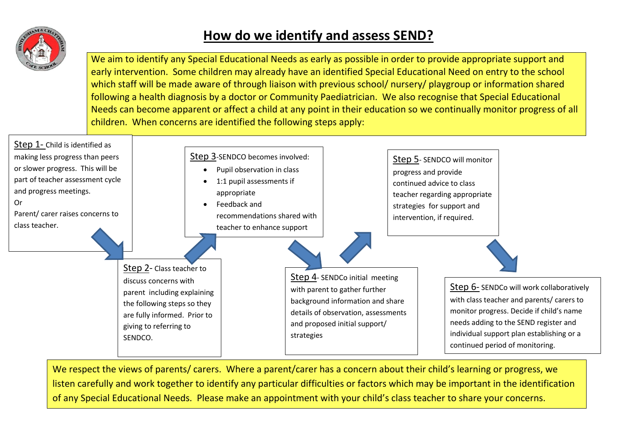

# **How do we identify and assess SEND?**

We aim to identify any Special Educational Needs as early as possible in order to provide appropriate support and early intervention. Some children may already have an identified Special Educational Need on entry to the school which staff will be made aware of through liaison with previous school/ nursery/ playgroup or information shared following a health diagnosis by a doctor or Community Paediatrician. We also recognise that Special Educational Needs can become apparent or affect a child at any point in their education so we continually monitor progress of all children. When concerns are identified the following steps apply:



We respect the views of parents/ carers. Where a parent/carer has a concern about their child's learning or progress, we listen carefully and work together to identify any particular difficulties or factors which may be important in the identification of any Special Educational Needs. Please make an appointment with your child's class teacher to share your concerns.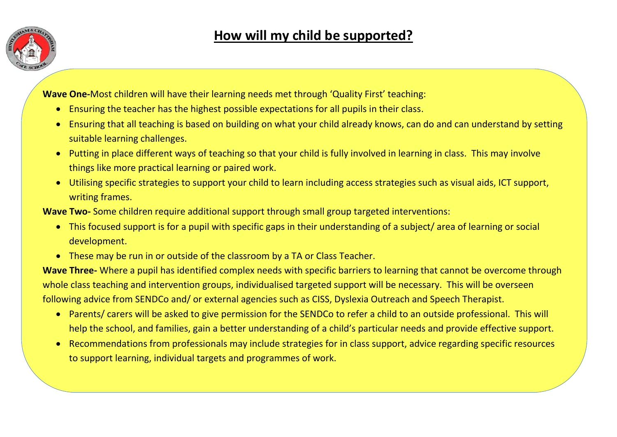

**Wave One-**Most children will have their learning needs met through 'Quality First' teaching:

- Ensuring the teacher has the highest possible expectations for all pupils in their class.
- Ensuring that all teaching is based on building on what your child already knows, can do and can understand by setting suitable learning challenges.
- Putting in place different ways of teaching so that your child is fully involved in learning in class. This may involve things like more practical learning or paired work.
- Utilising specific strategies to support your child to learn including access strategies such as visual aids, ICT support, writing frames.

**Wave Two-** Some children require additional support through small group targeted interventions:

- This focused support is for a pupil with specific gaps in their understanding of a subject/ area of learning or social development.
- These may be run in or outside of the classroom by a TA or Class Teacher.

**Wave Three-** Where a pupil has identified complex needs with specific barriers to learning that cannot be overcome through whole class teaching and intervention groups, individualised targeted support will be necessary. This will be overseen following advice from SENDCo and/ or external agencies such as CISS, Dyslexia Outreach and Speech Therapist.

- Parents/ carers will be asked to give permission for the SENDCo to refer a child to an outside professional. This will help the school, and families, gain a better understanding of a child's particular needs and provide effective support.
- Recommendations from professionals may include strategies for in class support, advice regarding specific resources to support learning, individual targets and programmes of work.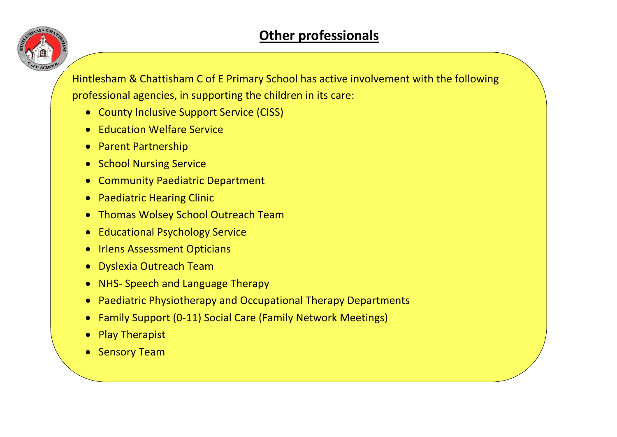

Hintlesham & Chattisham C of E Primary School has active involvement with the following professional agencies, in supporting the children in its care:

- County Inclusive Support Service (CISS)
- Education Welfare Service
- Parent Partnership
- School Nursing Service
- Community Paediatric Department
- Paediatric Hearing Clinic
- Thomas Wolsey School Outreach Team
- Educational Psychology Service
- Irlens Assessment Opticians
- Dyslexia Outreach Team
- NHS- Speech and Language Therapy
- Paediatric Physiotherapy and Occupational Therapy Departments
- Family Support (0-11) Social Care (Family Network Meetings)
- Play Therapist
- Sensory Team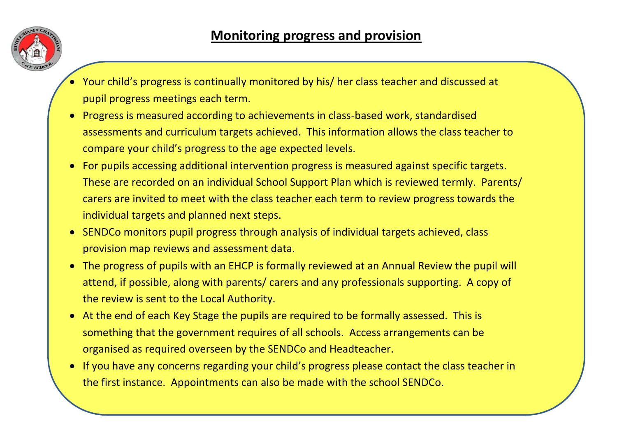

- Your child's progress is continually monitored by his/ her class teacher and discussed at pupil progress meetings each term.
- Progress is measured according to achievements in class-based work, standardised assessments and curriculum targets achieved. This information allows the class teacher to compare your child's progress to the age expected levels.
- For pupils accessing additional intervention progress is measured against specific targets. These are recorded on an individual School Support Plan which is reviewed termly. Parents/ carers are invited to meet with the class teacher each term to review progress towards the individual targets and planned next steps.
- SENDCo monitors pupil progress through analysis of individual targets achieved, class provision map reviews and assessment data.
- The progress of pupils with an EHCP is formally reviewed at an Annual Review the pupil will attend, if possible, along with parents/ carers and any professionals supporting. A copy of the review is sent to the Local Authority.
- At the end of each Key Stage the pupils are required to be formally assessed. This is something that the government requires of all schools. Access arrangements can be organised as required overseen by the SENDCo and Headteacher.
- If you have any concerns regarding your child's progress please contact the class teacher in the first instance. Appointments can also be made with the school SENDCo.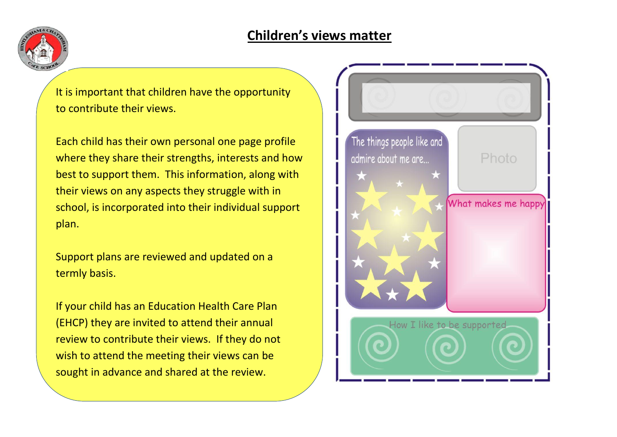## **Children's views matter**



It is important that children have the opportunity to contribute their views.

Each child has their own personal one page profile where they share their strengths, interests and how best to support them. This information, along with their views on any aspects they struggle with in school, is incorporated into their individual support plan.

Support plans are reviewed and updated on a termly basis.

If your child has an Education Health Care Plan (EHCP) they are invited to attend their annual review to contribute their views. If they do not wish to attend the meeting their views can be sought in advance and shared at the review.

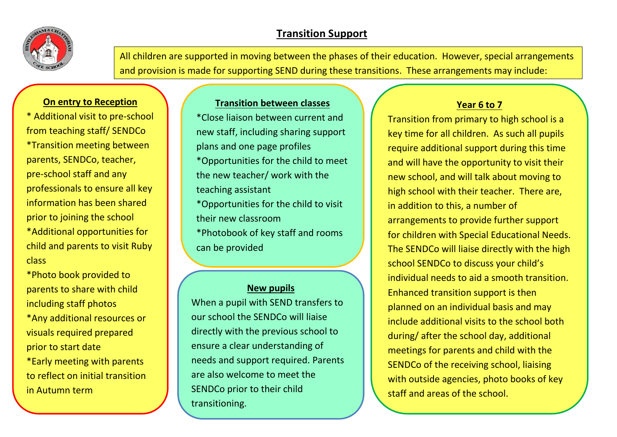

### **Transition Support**

All children are supported in moving between the phases of their education. However, special arrangements and provision is made for supporting SEND during these transitions. These arrangements may include:

### **On entry to Reception**

\* Additional visit to pre-school from teaching staff/ SENDCo \*Transition meeting between parents, SENDCo, teacher, pre-school staff and any professionals to ensure all key information has been shared prior to joining the school \*Additional opportunities for child and parents to visit Ruby class

\*Photo book provided to parents to share with child including staff photos

\*Any additional resources or visuals required prepared prior to start date

\*Early meeting with parents to reflect on initial transition in Autumn term

### **Transition between classes**

\*Close liaison between current and new staff, including sharing support plans and one page profiles \*Opportunities for the child to meet the new teacher/ work with the teaching assistant \*Opportunities for the child to visit their new classroom \*Photobook of key staff and rooms can be provided

#### **New pupils**

When a pupil with SEND transfers to our school the SENDCo will liaise directly with the previous school to ensure a clear understanding of needs and support required. Parents are also welcome to meet the SENDCo prior to their child transitioning.

### **Year 6 to 7**

Transition from primary to high school is a key time for all children. As such all pupils require additional support during this time and will have the opportunity to visit their new school, and will talk about moving to high school with their teacher. There are, in addition to this, a number of arrangements to provide further support for children with Special Educational Needs. The SENDCo will liaise directly with the high school SENDCo to discuss your child's individual needs to aid a smooth transition. Enhanced transition support is then planned on an individual basis and may include additional visits to the school both during/ after the school day, additional meetings for parents and child with the SENDCo of the receiving school, liaising with outside agencies, photo books of key staff and areas of the school.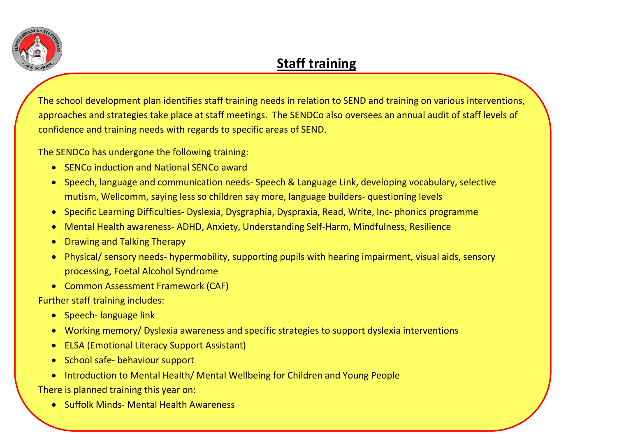

## **Staff training**

The school development plan identifies staff training needs in relation to SEND and training on various interventions, approaches and strategies take place at staff meetings. The SENDCo also oversees an annual audit of staff levels of confidence and training needs with regards to specific areas of SEND.

The SENDCo has undergone the following training:

- SENCo induction and National SENCo award
- Speech, language and communication needs- Speech & Language Link, developing vocabulary, selective mutism, Wellcomm, saying less so children say more, language builders- questioning levels
- Specific Learning Difficulties- Dyslexia, Dysgraphia, Dyspraxia, Read, Write, Inc- phonics programme
- Mental Health awareness- ADHD, Anxiety, Understanding Self-Harm, Mindfulness, Resilience
- **Drawing and Talking Therapy**
- Physical/ sensory needs- hypermobility, supporting pupils with hearing impairment, visual aids, sensory processing, Foetal Alcohol Syndrome
- Common Assessment Framework (CAF)

Further staff training includes:

- Speech- language link
- Working memory/ Dyslexia awareness and specific strategies to support dyslexia interventions
- **ELSA (Emotional Literacy Support Assistant)**
- School safe- behaviour support
- Introduction to Mental Health/ Mental Wellbeing for Children and Young People

There is planned training this year on:

• Suffolk Minds- Mental Health Awareness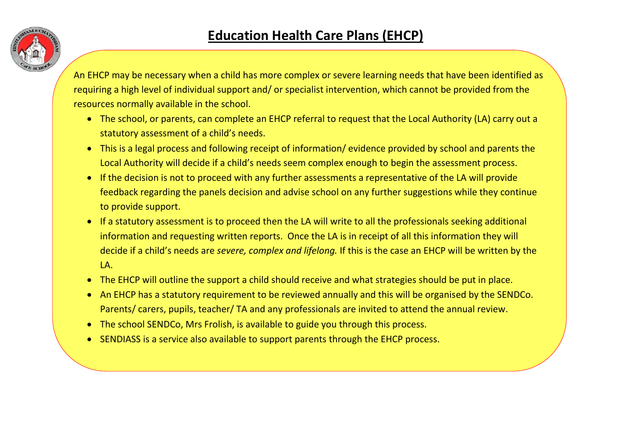

An EHCP may be necessary when a child has more complex or severe learning needs that have been identified as requiring a high level of individual support and/ or specialist intervention, which cannot be provided from the resources normally available in the school.

- The school, or parents, can complete an EHCP referral to request that the Local Authority (LA) carry out a statutory assessment of a child's needs.
- This is a legal process and following receipt of information/ evidence provided by school and parents the Local Authority will decide if a child's needs seem complex enough to begin the assessment process.
- If the decision is not to proceed with any further assessments a representative of the LA will provide feedback regarding the panels decision and advise school on any further suggestions while they continue to provide support.
- If a statutory assessment is to proceed then the LA will write to all the professionals seeking additional information and requesting written reports. Once the LA is in receipt of all this information they will decide if a child's needs are *severe, complex and lifelong.* If this is the case an EHCP will be written by the  $\overline{A}$
- The EHCP will outline the support a child should receive and what strategies should be put in place.
- An EHCP has a statutory requirement to be reviewed annually and this will be organised by the SENDCo. Parents/ carers, pupils, teacher/ TA and any professionals are invited to attend the annual review.
- The school SENDCo, Mrs Frolish, is available to guide you through this process.
- SENDIASS is a service also available to support parents through the EHCP process.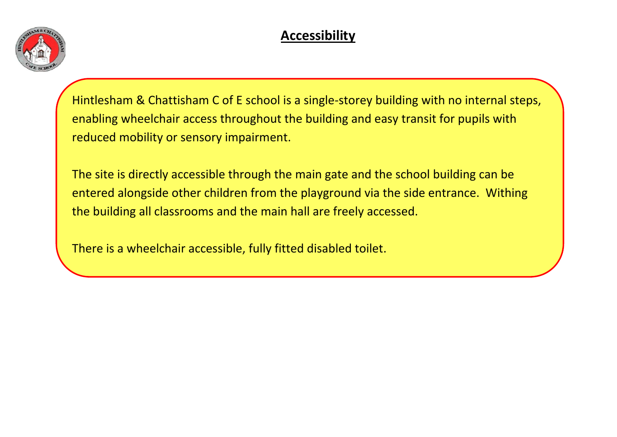

# **Accessibility**

Hintlesham & Chattisham C of E school is a single-storey building with no internal steps, enabling wheelchair access throughout the building and easy transit for pupils with reduced mobility or sensory impairment.

The site is directly accessible through the main gate and the school building can be entered alongside other children from the playground via the side entrance. Withing the building all classrooms and the main hall are freely accessed.

There is a wheelchair accessible, fully fitted disabled toilet.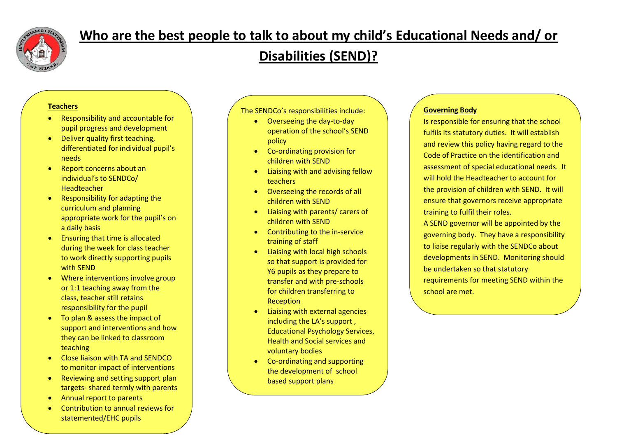

## **Who are the best people to talk to about my child's Educational Needs and/ or**

# **Disabilities (SEND)?**

#### **Teachers**

- Responsibility and accountable for pupil progress and development
- Deliver quality first teaching, differentiated for individual pupil's needs
- Report concerns about an individual's to SENDCo/ Headteacher
- Responsibility for adapting the curriculum and planning appropriate work for the pupil's on a daily basis
- Ensuring that time is allocated during the week for class teacher to work directly supporting pupils with SEND
- Where interventions involve group or 1:1 teaching away from the class, teacher still retains responsibility for the pupil
- To plan & assess the impact of support and interventions and how they can be linked to classroom teaching
- Close liaison with TA and SENDCO to monitor impact of interventions
- Reviewing and setting support plan targets- shared termly with parents
- Annual report to parents
- Contribution to annual reviews for statemented/EHC pupils

• Termly Parents Evenings to review

The SENDCo's responsibilities include:

- Overseeing the day-to-day operation of the school's SEND policy
- Co-ordinating provision for children with SEND
- Liaising with and advising fellow teachers
- Overseeing the records of all children with SEND
- Liaising with parents/ carers of children with SEND
- Contributing to the in-service training of staff
- Liaising with local high schools so that support is provided for Y6 pupils as they prepare to transfer and with pre-schools for children transferring to Reception
- Liaising with external agencies including the LA's support , Educational Psychology Services, Health and Social services and voluntary bodies
- Co-ordinating and supporting the development of school based support plans

#### **Governing Body**

Is responsible for ensuring that the school fulfils its statutory duties. It will establish and review this policy having regard to the Code of Practice on the identification and assessment of special educational needs. It will hold the Headteacher to account for the provision of children with SEND. It will ensure that governors receive appropriate training to fulfil their roles.

A SEND governor will be appointed by the governing body. They have a responsibility to liaise regularly with the SENDCo about developments in SEND. Monitoring should be undertaken so that statutory requirements for meeting SEND within the school are met.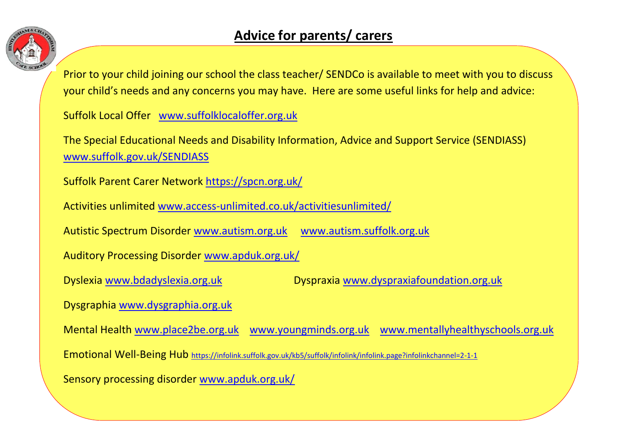

Prior to your child joining our school the class teacher/ SENDCo is available to meet with you to discuss your child's needs and any concerns you may have. Here are some useful links for help and advice:

Suffolk Local Offer [www.suffolklocaloffer.org.uk](http://www.suffolklocaloffer.org.uk/)

The Special Educational Needs and Disability Information, Advice and Support Service (SENDIASS) [www.suffolk.gov.uk/SENDIASS](http://www.suffolk.gov.uk/SENDIASS)

Suffolk Parent Carer Network<https://spcn.org.uk/>

Activities unlimited [www.access-unlimited.co.uk/activitiesunlimited/](http://www.access-unlimited.co.uk/activitiesunlimited/)

Autistic Spectrum Disorder [www.autism.org.uk](http://www.autism.org.uk/) [www.autism.suffolk.org.uk](http://www.autism.suffolk.org.uk/)

Auditory Processing Disorder [www.apduk.org.uk/](http://www.apduk.org.uk/)

Dyslexia [www.bdadyslexia.org.uk](http://www.bdadyslexia.org.uk/) Dyspraxia [www.dyspraxiafoundation.org.uk](http://www.dyspraxiafoundation.org.uk/)

Dysgraphia [www.dysgraphia.org.uk](http://www.dysgraphia.org.uk/)

Mental Health [www.place2be.org.uk](http://www.place2be.org.uk/) [www.youngminds.org.uk](http://www.youngminds.org.uk/) [www.mentallyhealthyschools.org.uk](http://www.mentallyhealthyschools.org.uk/) Emotional Well-Being Hub <https://infolink.suffolk.gov.uk/kb5/suffolk/infolink/infolink.page?infolinkchannel=2-1-1> Sensory processing disorder [www.apduk.org.uk/](http://www.apduk.org.uk/)